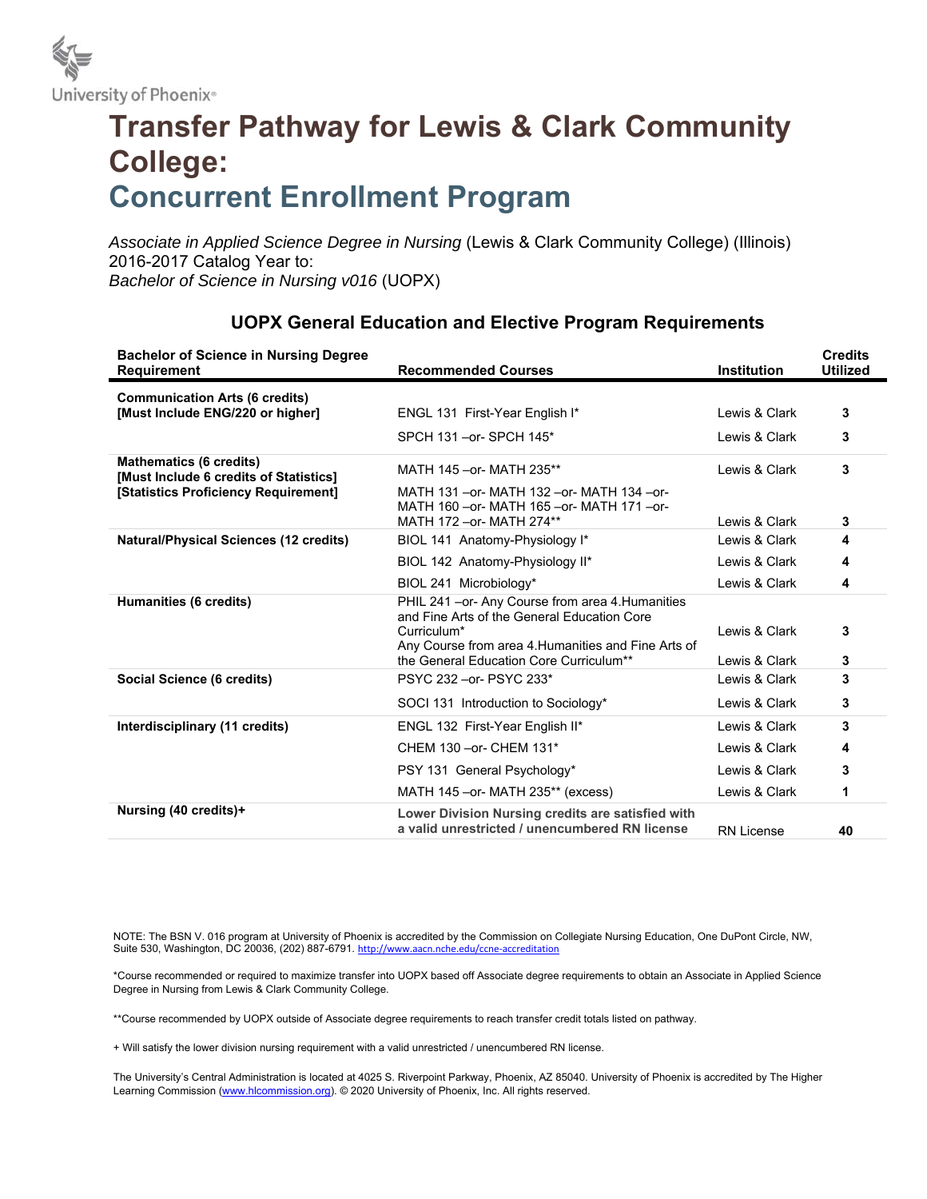

## **Transfer Pathway for Lewis & Clark Community College: Concurrent Enrollment Program**

*Associate in Applied Science Degree in Nursing* (Lewis & Clark Community College) (Illinois) 2016-2017 Catalog Year to: *Bachelor of Science in Nursing v016* (UOPX)

| <b>Bachelor of Science in Nursing Degree</b><br><b>Requirement</b>                                               | <b>Recommended Courses</b>                                                                         | <b>Institution</b> | <b>Credits</b><br><b>Utilized</b> |
|------------------------------------------------------------------------------------------------------------------|----------------------------------------------------------------------------------------------------|--------------------|-----------------------------------|
| <b>Communication Arts (6 credits)</b>                                                                            |                                                                                                    |                    |                                   |
| [Must Include ENG/220 or higher]                                                                                 | ENGL 131 First-Year English I*                                                                     | Lewis & Clark      | 3                                 |
|                                                                                                                  | SPCH 131 - or - SPCH 145*                                                                          | Lewis & Clark      | 3                                 |
| <b>Mathematics (6 credits)</b><br>[Must Include 6 credits of Statistics]<br>[Statistics Proficiency Requirement] | MATH 145 - or- MATH 235**                                                                          | Lewis & Clark      | 3                                 |
|                                                                                                                  | MATH 131 - or - MATH 132 - or - MATH 134 - or -<br>MATH 160 - or - MATH 165 - or - MATH 171 - or - |                    |                                   |
|                                                                                                                  | MATH 172 - or- MATH 274**                                                                          | Lewis & Clark      | 3                                 |
| <b>Natural/Physical Sciences (12 credits)</b>                                                                    | BIOL 141 Anatomy-Physiology I*                                                                     | Lewis & Clark      | 4                                 |
|                                                                                                                  | BIOL 142 Anatomy-Physiology II*                                                                    | Lewis & Clark      | 4                                 |
|                                                                                                                  | BIOL 241 Microbiology*                                                                             | Lewis & Clark      | 4                                 |
| Humanities (6 credits)                                                                                           | PHIL 241 - or- Any Course from area 4. Humanities<br>and Fine Arts of the General Education Core   |                    |                                   |
|                                                                                                                  | Curriculum*                                                                                        | Lewis & Clark      | 3                                 |
|                                                                                                                  | Any Course from area 4. Humanities and Fine Arts of                                                |                    |                                   |
|                                                                                                                  | the General Education Core Curriculum**                                                            | Lewis & Clark      | 3                                 |
| Social Science (6 credits)                                                                                       | PSYC 232 - or- PSYC 233*                                                                           | Lewis & Clark      | 3                                 |
|                                                                                                                  | SOCI 131 Introduction to Sociology*                                                                | Lewis & Clark      | 3                                 |
| Interdisciplinary (11 credits)                                                                                   | ENGL 132 First-Year English II*                                                                    | Lewis & Clark      | 3                                 |
|                                                                                                                  | CHEM 130 - or- CHEM 131*                                                                           | Lewis & Clark      | 4                                 |
|                                                                                                                  | PSY 131 General Psychology*                                                                        | Lewis & Clark      | 3                                 |
|                                                                                                                  | MATH 145 - or - MATH 235** (excess)                                                                | Lewis & Clark      | 1                                 |
| Nursing (40 credits)+                                                                                            | Lower Division Nursing credits are satisfied with                                                  |                    |                                   |
|                                                                                                                  | a valid unrestricted / unencumbered RN license                                                     | <b>RN License</b>  | 40                                |

## **UOPX General Education and Elective Program Requirements**

NOTE: The BSN V. 016 program at University of Phoenix is accredited by the Commission on Collegiate Nursing Education, One DuPont Circle, NW, Suite 530, Washington, DC 20036, (202) 887-6791. http://www.aacn.nche.edu/ccne-accreditation

\*Course recommended or required to maximize transfer into UOPX based off Associate degree requirements to obtain an Associate in Applied Science Degree in Nursing from Lewis & Clark Community College.

\*\*Course recommended by UOPX outside of Associate degree requirements to reach transfer credit totals listed on pathway.

+ Will satisfy the lower division nursing requirement with a valid unrestricted / unencumbered RN license.

The University's Central Administration is located at 4025 S. Riverpoint Parkway, Phoenix, AZ 85040. University of Phoenix is accredited by The Higher Learning Commission (www.hlcommission.org). © 2020 University of Phoenix, Inc. All rights reserved.